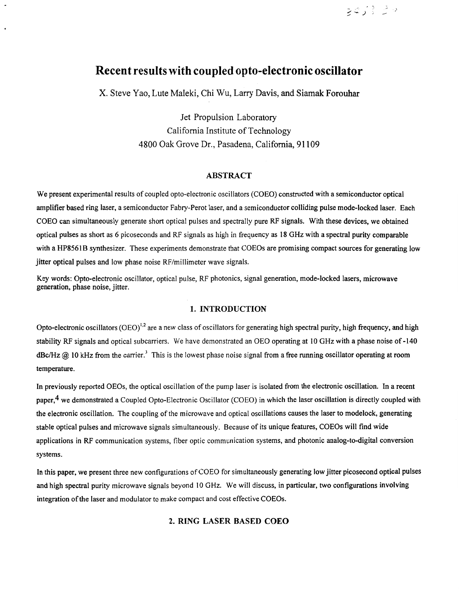# **Recent results with coupled opto-electronic oscillator**

X. Steve Yao, Lute Maleki, Chi Wu, Larry Davis, and Siamak Forouhar

Jet Propulsion Laboratory California Institute of Technology 4800 Oak Grove Dr., Pasadena, California, 91 109

## **ABSTR4CT**

We present experimental results of coupled opto-electronic oscillators (COEO) constructed with a semiconductor optical amplifier based ring laser, a semiconductor Fabry-Perot laser, and a semiconductor colliding pulse mode-locked laser. Each COEO can simultaneously generate short optical pulses and spectrally pure RF signals. With these devices, we obtained optical pulses as short as *6* picoseconds and RF signals as high in frequency as **18** GHz with a spectral purity comparable with a HP8561B synthesizer. These experiments demonstrate that COEOs are promising compact sources for generating low jitter optical pulses and low phase noise RF/millimeter wave signals.

Key words: Opto-electronic oscillator, optical pulse, RF photonics, signal generation, mode-locked lasers, microwave generation, phase noise, jitter.

## **1. INTRODUCTION**

Opto-electronic oscillators (OEO)<sup>1,2</sup> are a new class of oscillators for generating high spectral purity, high frequency, and high stability RF signals and optical subcarriers. We have demonstrated an OEO operating at 10 GHz with a phase noise of **-140**   $\text{dBc/Hz}$  ( $\Omega$ ) 10 kHz from the carrier.<sup>3</sup> This is the lowest phase noise signal from a free running oscillator operating at room temperature.

In previously reported OEOs, the optical oscillation of the pump laser is isolated from the electronic oscillation. In a recent paper,<sup>4</sup> we demonstrated a Coupled Opto-Electronic Oscillator (COEO) in which the laser oscillation is directly coupled with the electronic oscillation. The coupling of the microwave and optical oscillations causes the laser to modelock, generating stable optical pulses and microwave signals simultaneously. Because of its unique features, COEOs will find wide applications in RF communication systems, fiber optic communication systems, and photonic analog-to-digital conversion systems.

In this paper, we present three new configurations of COEO for simultaneously generating low jitter picosecond optical pulses and high spectral purity microwave signals beyond 10 GHz. We will discuss, in particular, two configurations involving integration of the laser and modulator to make compact and cost effective COEOs.

# **2. RING LASER BASED COEO**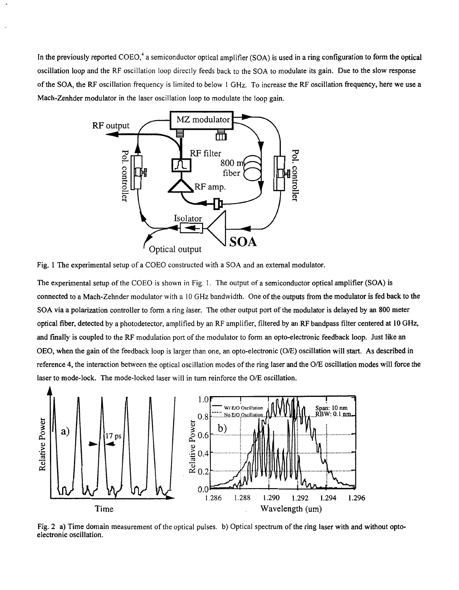In the previously reported COEO,' a semiconductor optical amplifier **(SOA)** is used in a ring configuration to form the optical oscillation loop and the RF oscillation loop directly feeds back to the **SOA** to modulate its gain. Due to the slow response of the **SOA,** the RF oscillation frequency is limited to below 1 GHz. To increase the RF oscillation frequency, here we use a Mach-Zenhder modulator in the laser oscillation loop to modulate the loop gain.



Fig. 1 The experimental setup of a COEO constructed with a **SOA** and an external modulator.

The experimental setup of the COEO is shown in Fig. 1. The output of a semiconductor optical amplifier **(SOA)** is connected to a Mach-Zehnder modulator with a 10 GHz bandwidth. One of the outputs from the modulator is fed back **to** the **SOA** via a polarization controller to form a ring laser. The other output port of the modulator **is** delayed by an **800** meter optical fiber, detected by a photodetector, amplified by an RF amplifier, filtered by an RF bandpass filter centered at **10** GHz, and fmally is coupled to the RF modulation port of the modulator to form an opto-electronic feedback loop. Just like an OEO, when the gain of the feedback loop is larger than one, an opto-electronic (O/E) oscillation will start. **As** described in reference **4,** the interaction between the optical oscillation modes of the ring laser and the *OE* oscillation modes will force the laser to mode-lock. The mode-locked laser will in turn reinforce the O/E oscillation.



[Fig.](#page-2-0) **2 a)** Time domain measurement of the optical pulses. b) Optical spectrum of the ring laser with and without optoelectronic oscillation.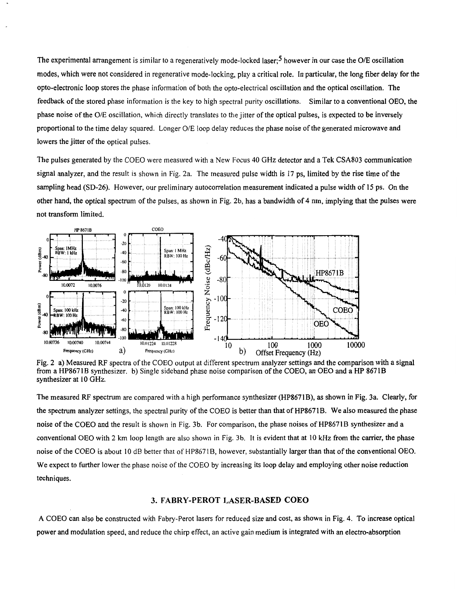<span id="page-2-0"></span>The experimental arrangement is similar to a regeneratively mode-locked laser;<sup>5</sup> however in our case the O/E oscillation modes, which were not considered in regenerative mode-locking, play a critical role. In particular, the long **fiber** delay for the opto-electronic loop stores the phase information of both the opto-electrical oscillation and the optical oscillation. The feedback of the stored phase information is the key to high spectral purity oscillations. Similar to a conventional OEO, the phase noise of the O/E oscillation, which directly translates to the jitter of the optical pulses, is expected to be inversely proportional to the time delay squared. Longer O/E loop delay reduces the phase noise **of** the generated microwave and lowers the jitter of the optical pulses.

The pulses generated by the COEO were measured with a New Focus 40 GHz detector and a Tek CSA803 communication signal analyzer, and the result is shown in Fig. 2a. The measured pulse width is 17 ps, limited by the rise time of the sampling head (SD-26). However, our preliminary autocorrelation measurement indicated a pulse width of 15 ps. On the other hand, the optical spectrum of the pulses, as shown in Fig. **2b,** has a bandwidth of **4** nm, implying that the pulses were not transform limited.



Fig. 2 a) Measured RF spectra of the COEO output at different spectrum analyzer settings and the comparison with a signal from a HP8671B synthesizer. b) Single sideband phase noise comparison of the COEO, an OEO and a HP 8671B synthesizer at 10 GHz.

The measured RF spectrum are compared with a high performance synthesizer (HP8671B), as shown in Fig. 3a. Clearly, for the spectrum analyzer settings, the spectral purity of the COEO is better than that of HP8671B. We also measured the phase noise of the COEO and the result is shown in Fig. 3b. For comparison, the phase noises of HP8671B synthesizer and a conventional OEO with 2 km loop length are also shown in Fig. 3b. It is evident that at 10 kHz from the carrier, the phase noise **of** the COEO is about IO dB better that of HP867 **1** B, however, substantially larger than that of the conventional OEO. We expect to further lower the phase noise of the COEO by increasing its loop delay and employing other noise reduction techniques.

#### **3. FABRY-PEROT LASER-BASED COEO**

**A** COEO can also be constructed with Fabry-Perot lasers for reduced size and cost, as shown in [Fig.](#page-3-0) **4.** To increase optical power and modulation speed, and reduce the chirp effect, an active gain medium is integrated with an electro-absorption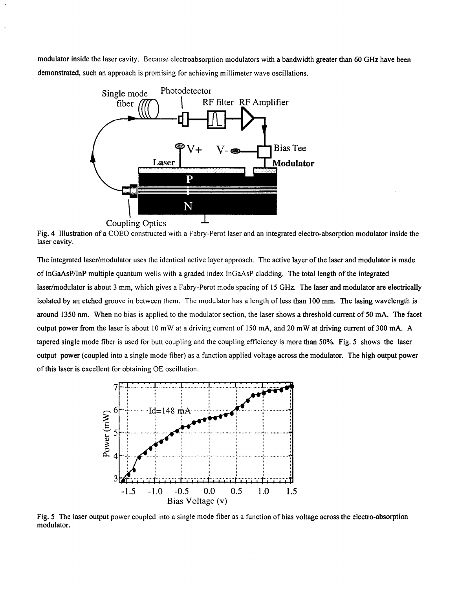<span id="page-3-0"></span>modulator inside the laser cavity. Because electroabsorption modulators with a bandwidth greater than **60** GHz have been demonstrated, such an approach is promising for achieving millimeter wave oscillations.



Fig. **4** Illustration of a COEO constructed with a Fabry-Perot laser and an integrated electro-absorption modulator inside the laser cavity.

The integrated laser/modulator uses the identical active layer approach. The active layer of the laser and modulator is made of InGaAsPhP multiple quantum wells with a graded index InGaAsP cladding. The total length of the integrated laser/modulator is about **3** mm, which gives a Fabry-Perot mode spacing of 15 GHz. The laser and modulator are electrically isolated by an etched groove in between them. The modulator has a length of less than **100** mm. The lasing wavelength is around 1350 nm. When no bias is applied to the modulator section, the laser shows a threshold current of **50** mA. The facet output power from the laser is about 10 mW at a driving current of 150 mA, and 20 mW at driving current of 300 mA. A tapered single mode fiber is used for butt coupling and the coupling efficiency is more than 50%. Fig. **5** shows the laser output power (coupled into a single mode fiber) as a function applied voltage across the modulator. The high output power of this laser is excellent for obtaining OE oscillation.



Fig. **5** The laser output power coupled into a single mode fiber as a function of bias voltage across the electro-absorption modulator.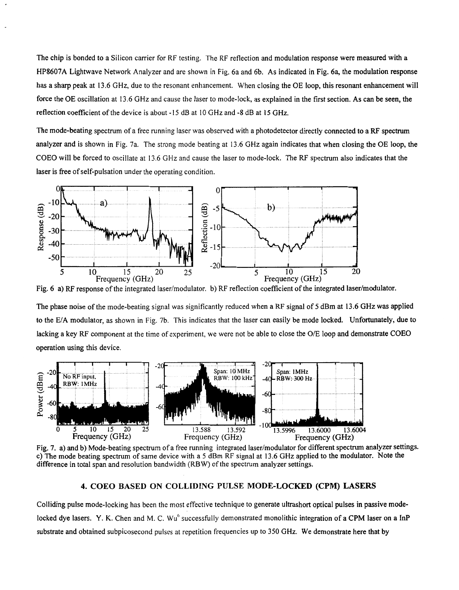The chip is bonded to a Silicon carrier for RF testing. The RF reflection and modulation response were measured with a HP8607A Lightwave Network Analyzer and are shown in Fig. 6a and 6b. As indicated in Fig. 6a, the modulation response has a sharp peak at 13.6 GHz, due to the resonant enhancement. When closing the OE loop, this resonant enhancement will force the OE oscillation at 13.6 GHz and cause the laser to mode-lock, as explained in the first section. As can be seen, the reflection coefficient of the device is about - 15 dB at 10 GHz and **-8** dB at **15** GHz.

The mode-beating spectrum of a free running laser was observed with a photodetector directly connected to a RF spectrum analyzer and is shown in Fig. 7a. The strong mode beating at 13.6 GHz again indicates that when closing the OE loop, the COEO will be forced to oscillate at 13.6 GHz and cause the laser to mode-lock. The RF spectrum also indicates that the laser is free of self-pulsation under the operating condition.



Fig. 6 a) RF response of the integrated laser/modulator. b) RF reflection coefficient **of** the integrated laser/modulator.

The phase noise of the mode-beating signal was significantly reduced when a RF signal of 5 dBm at 13.6 GHz was applied to the E/A modulator, as shown in Fig. 7b. This indicates that the laser can easily be mode locked. Unfortunately, due to lacking a key RF component at the time of experiment, we were not be able to close the O/E loop and demonstrate COEO operation using this device.



Fig. 7. a) and b) Mode-beating spectrum of a free running integrated laser/modulator for different spectrum analyzer settings. c) The mode beating spectrum of same device with a *5* dBm RF signal at 13.6 GHz applied to the modulator. Note the difference in total span and resolution bandwidth (RBW) **of** the spectrum analyzer settings.

#### **4. COEO BASED ON COLLIDING PULSE MODE-LOCKED (CPM) LASERS**

Colliding pulse mode-locking has been the most effective technique to generate ultrashort optical pulses in passive modelocked dye lasers. Y. K. Chen and M. C. Wu<sup>6</sup> successfully demonstrated monolithic integration of a CPM laser on a InP substrate and obtained subpicosecond pulses at repetition frequencies up to 350 GHz. We demonstrate here that by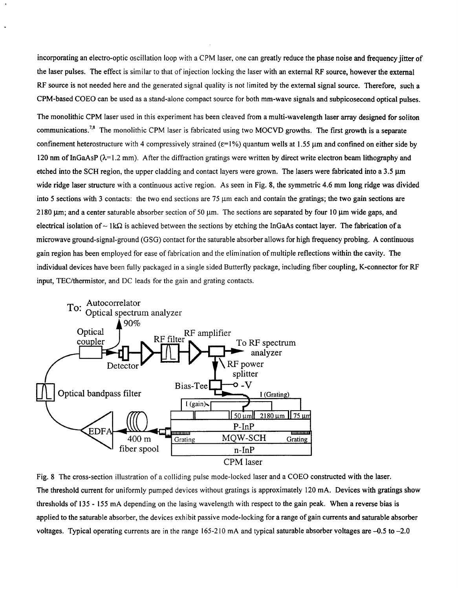<span id="page-5-0"></span>incorporating an electro-optic oscillation loop with a CPM laser, one can greatly reduce the phase noise and frequency jitter of the laser pulses. The effect is similar to that of injection locking the laser with an external RF source, however the external RF source is not needed here and the generated signal quality is not limited by the external signal source. Therefore, such a CPM-based COEO can be used as a stand-alone compact source for both mm-wave signals and subpicosecond optical pulses.

The monolithic CPM laser used in this experiment has been cleaved from a multi-wavelength laser array designed for soliton communications.<sup>7,8</sup> The monolithic CPM laser is fabricated using two MOCVD growths. The first growth is a separate confinement heterostructure with 4 compressively strained ( $\varepsilon$ =1%) quantum wells at 1.55 µm and confined on either side by 120 nm of InGaAsP ( $\lambda$ =1.2 mm). After the diffraction gratings were written by direct write electron beam lithography and etched into the SCH region, the upper cladding and contact layers were grown. The lasers were fabricated into a 3.5 um wide ridge laser structure with a continuous active region. As seen in Fig. 8, the symmetric **4.6** mm long ridge was divided into 5 sections with 3 contacts: the two end sections are 75  $\mu$ m each and contain the gratings; the two gain sections are 2180  $\mu$ m; and a center saturable absorber section of 50  $\mu$ m. The sections are separated by four 10  $\mu$ m wide gaps, and electrical isolation of  $\sim 1k\Omega$  is achieved between the sections by etching the InGaAs contact layer. The fabrication of a microwave ground-signal-ground (GSG) contact for the saturable absorber allows for high frequency probing. **A** continuous gain region has been employed for ease of fabrication and the elimination of multiple reflections within the cavity. The individual devices have been fully packaged in a single sided Butterfly package, including fiber coupling, K-connector for RF input, TEC/thermistor, and DC leads for the gain and grating contacts.



Fig. 8 The cross-section illustration of a colliding pulse mode-locked laser and a COEO constructed with the laser. The threshold current for uniformly pumped devices without gratings is approximately 120 mA. Devices with gratings show thresholds **of** 135 - 155 mA depending on the lasing wavelength with respect to the gain peak. When a reverse bias is applied to the saturable absorber, the devices exhibit passive mode-locking for a range of gain currents and saturable absorber voltages. Typical operating currents are in the range **165-2** IO mA and typical saturable absorber voltages are **-0.5** to **-2.0**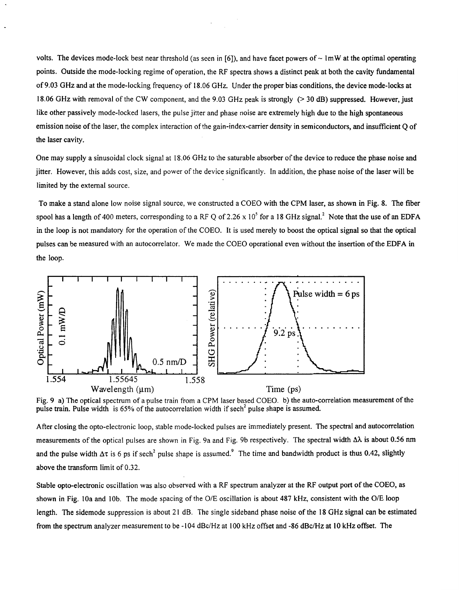volts. The devices mode-lock best near threshold (as seen in [6]), and have facet powers of  $\sim 1$ mW at the optimal operating points. Outside the mode-locking regime of operation, the RF spectra shows a distinct peak at both the cavity fundamental of **9.03** GHz and at the mode-locking frequency of 18.06 GHz. Under the proper bias conditions, the device mode-locks at 18.06 GHz with removal of the CW component, and the 9.03 GHz peak is strongly (> **30** dB) suppressed. However, just like other passively mode-locked lasers, the pulse jitter and phase noise are extremely high due to the high spontaneous emission noise of the laser, the complex interaction of the gain-index-carrier density in semiconductors, and insufficient *Q* of the laser cavity.

One may supply **a** sinusoidal clock signal at 18.06 GHz to the saturable absorber of the device to reduce the phase noise and jitter. However, this adds cost, size, and power of the device significantly. In addition, the phase noise of the laser will be limited by the external source.

To make a stand alone low noise signal source, we constructed a COEO with the **CPM** laser, as shown in [Fig.](#page-5-0) **8.** The fiber spool has a length of 400 meters, corresponding to a RF Q of 2.26 x 10<sup>5</sup> for a 18 GHz signal.<sup>2</sup> Note that the use of an EDFA in the loop **is** not mandatory for the operation of the COEO. It is used merely to boost the optical signal *so* that the optical pulses can be measured with an autocorrelator. We made the COEO operational even without the insertion of the EDFA in the **loop.** 



Fig. **9** a) The optical spectrum of a pulse train from a CPM laser based COEO. b) the auto-correlation measurement of the pulse train. Pulse width is 65% of the autocorrelation width if sech<sup>2</sup> pulse shape is assumed.

After closing the opto-electronic loop, stable mode-locked pulses are immediately present. The spectral and autocorrelation measurements of the optical pulses are shown in Fig. 9a and Fig. 9b respectively. The spectral width  $\Delta\lambda$  is about 0.56 nm and the pulse width  $\Delta\tau$  is 6 ps if sech<sup>2</sup> pulse shape is assumed.<sup>9</sup> The time and bandwidth product is thus 0.42, slightly above the transform limit of 0.32.

Stable opto-electronic oscillation was also observed with a RF spectrum analyzer at the RF output port of the COEO, as shown in Fig. 10a and 10b. The mode spacing of the O/E oscillation is about 487 kHz, consistent with the O/E loop length. The sidemode suppression is about **2 1** dB. The single sideband phase noise of the **18 GHz** signal can be estimated from the spectrum analyzer measurement to be - I04 dBc/Hz at IO0 kHz offset and -86 dBc/Hz at 10 kHz offset. The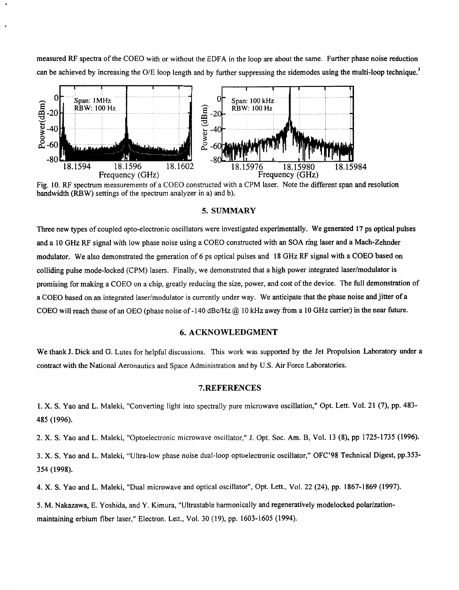measured RF spectra of the COEO with or without the EDFA in the loop are about the same. Further phase noise reduction can be achieved by increasing the O/E loop length and by further suppressing the sidemodes using the multi-loop technique.<sup>3</sup>



Fig. 10. RF spectrum measurements of a COEO constructed with a CPM laser. Note the different span and resolution bandwidth (RBW) settings of the spectrum analyzer in a) and b).

#### **5. SUMMARY**

Three new types of coupled opto-electronic oscillators were investigated experimentally. We generated 17 **ps** optical pulses and a 10 GHz RF signal with low phase noise using a COEO constructed with an SOA ring laser and a Mach-Zehnder modulator. We also demonstrated the generation of 6 ps optical pulses and 18 GHz RF signal with a COEO based on colliding pulse mode-locked (CPM) lasers. Finally, we demonstrated that a high power integrated laser/modulator is promising for making a COEO on a chip, greatly reducing the size, power, and cost of the device. The full demonstration of a COEO based on an integrated laser/modulator is currently under way. We anticipate that the phase noise and jitter of a COEO will reach those of an OEO (phase noise of -140 dBc/Hz @ 10 kHz away from a 10 GHz carrier) in the near future.

#### **6. ACKNOWLEDGMENT**

We thank J. Dick and G. Lutes for helpful discussions. This work was supported by the Jet Propulsion Laboratory under a contract with the National Aeronautics and Space Administration and by **U.S. Air** Force Laboratories.

#### **7.REFERENCES**

1. **X. S.** Yao and L. Maleki, "Converting light into spectrally pure microwave oscillation," Opt. Lett. Vol. 21 (7), pp. 483- 485 (1996).

2. X. S. Yao and L. Maleki, "Optoelectronic microwave oscillator," J. Opt. Soc. Am. B, Vol. 13 (8), pp 1725-1735 (1996).

3. **X. S.** Yao and L. Maleki, "Ultra-low phase noise dual-loop optoelectronic oscillator," OFC'98 Technical Digest, pp.353- 354 **(1** 998).

**4. X. S.** Yao and L. Maleki, "Dual microwave and optical oscillator", Opt. Lett., Vol. 22 (24), pp. 1867-1869 (1997).

**5. M.** Nakazawa, **E.** Yoshida, and Y. Kirnura, "Ultrastable harmonically and regeneratively modelocked polarizationmaintaining erbium fiber laser," Electron. Lett., Vol. 30 (19), pp. 1603-1605 (1994).